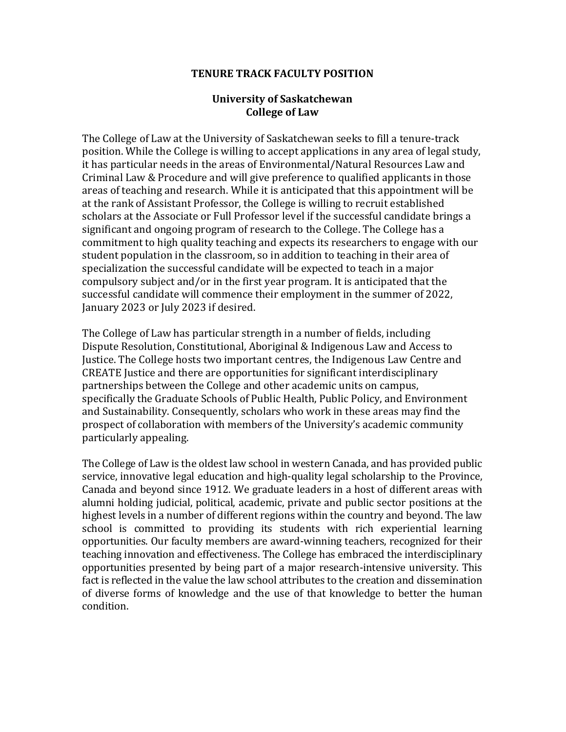## **TENURE TRACK FACULTY POSITION**

## **University of Saskatchewan College of Law**

The College of Law at the University of Saskatchewan seeks to fill a tenure-track position. While the College is willing to accept applications in any area of legal study, it has particular needs in the areas of Environmental/Natural Resources Law and Criminal Law & Procedure and will give preference to qualified applicants in those areas of teaching and research. While it is anticipated that this appointment will be at the rank of Assistant Professor, the College is willing to recruit established scholars at the Associate or Full Professor level if the successful candidate brings a significant and ongoing program of research to the College. The College has a commitment to high quality teaching and expects its researchers to engage with our student population in the classroom, so in addition to teaching in their area of specialization the successful candidate will be expected to teach in a major compulsory subject and/or in the first year program. It is anticipated that the successful candidate will commence their employment in the summer of 2022, January 2023 or July 2023 if desired.

The College of Law has particular strength in a number of fields, including Dispute Resolution, Constitutional, Aboriginal & Indigenous Law and Access to Justice. The College hosts two important centres, the Indigenous Law Centre and CREATE Justice and there are opportunities for significant interdisciplinary partnerships between the College and other academic units on campus, specifically the Graduate Schools of Public Health, Public Policy, and Environment and Sustainability. Consequently, scholars who work in these areas may find the prospect of collaboration with members of the University's academic community particularly appealing.

The College of Law is the oldest law school in western Canada, and has provided public service, innovative legal education and high-quality legal scholarship to the Province, Canada and beyond since 1912. We graduate leaders in a host of different areas with alumni holding judicial, political, academic, private and public sector positions at the highest levels in a number of different regions within the country and beyond. The law school is committed to providing its students with rich experiential learning opportunities. Our faculty members are award-winning teachers, recognized for their teaching innovation and effectiveness. The College has embraced the interdisciplinary opportunities presented by being part of a major research-intensive university. This fact is reflected in the value the law school attributes to the creation and dissemination of diverse forms of knowledge and the use of that knowledge to better the human condition.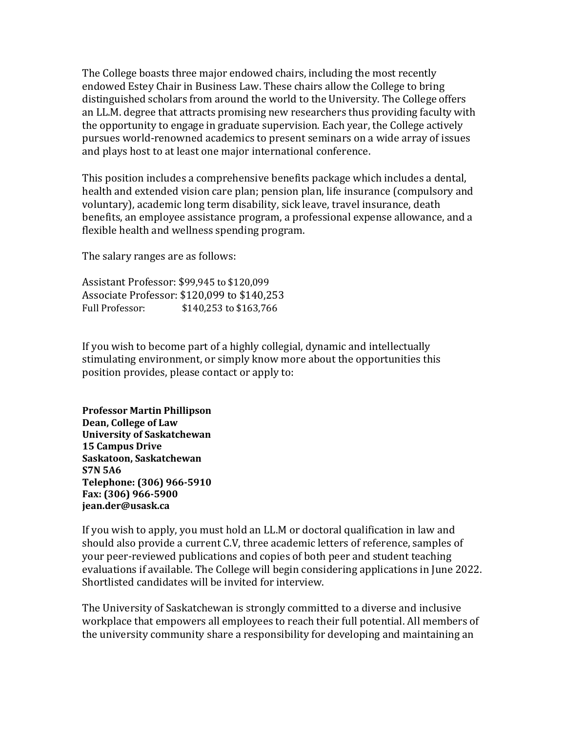The College boasts three major endowed chairs, including the most recently endowed Estey Chair in Business Law. These chairs allow the College to bring distinguished scholars from around the world to the University. The College offers an LL.M. degree that attracts promising new researchers thus providing faculty with the opportunity to engage in graduate supervision. Each year, the College actively pursues world-renowned academics to present seminars on a wide array of issues and plays host to at least one major international conference.

This position includes a comprehensive benefits package which includes a dental, health and extended vision care plan; pension plan, life insurance (compulsory and voluntary), academic long term disability, sick leave, travel insurance, death benefits, an employee assistance program, a professional expense allowance, and a flexible health and wellness spending program.

The salary ranges are as follows:

Assistant Professor: \$99,945 to \$120,099 Associate Professor: \$120,099 to \$140,253 Full Professor: \$140,253 to \$163,766

If you wish to become part of a highly collegial, dynamic and intellectually stimulating environment, or simply know more about the opportunities this position provides, please contact or apply to:

**Professor Martin Phillipson Dean, College of Law University of Saskatchewan 15 Campus Drive Saskatoon, Saskatchewan S7N 5A6 Telephone: (306) 966-5910 Fax: (306) 966-5900 jean.der@usask.ca** 

If you wish to apply, you must hold an LL.M or doctoral qualification in law and should also provide a current C.V, three academic letters of reference, samples of your peer-reviewed publications and copies of both peer and student teaching evaluations if available. The College will begin considering applications in June 2022. Shortlisted candidates will be invited for interview.

The University of Saskatchewan is strongly committed to a diverse and inclusive workplace that empowers all employees to reach their full potential. All members of the university community share a responsibility for developing and maintaining an